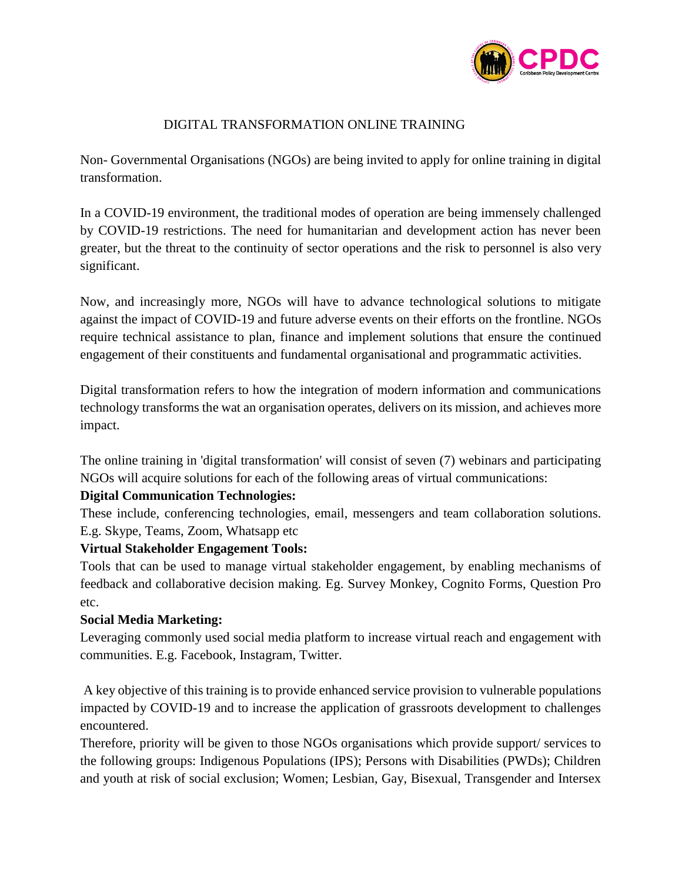

## DIGITAL TRANSFORMATION ONLINE TRAINING

Non- Governmental Organisations (NGOs) are being invited to apply for online training in digital transformation.

In a COVID-19 environment, the traditional modes of operation are being immensely challenged by COVID-19 restrictions. The need for humanitarian and development action has never been greater, but the threat to the continuity of sector operations and the risk to personnel is also very significant.

Now, and increasingly more, NGOs will have to advance technological solutions to mitigate against the impact of COVID-19 and future adverse events on their efforts on the frontline. NGOs require technical assistance to plan, finance and implement solutions that ensure the continued engagement of their constituents and fundamental organisational and programmatic activities.

Digital transformation refers to how the integration of modern information and communications technology transforms the wat an organisation operates, delivers on its mission, and achieves more impact.

The online training in 'digital transformation' will consist of seven (7) webinars and participating NGOs will acquire solutions for each of the following areas of virtual communications:

## **Digital Communication Technologies:**

These include, conferencing technologies, email, messengers and team collaboration solutions. E.g. Skype, Teams, Zoom, Whatsapp etc

## **Virtual Stakeholder Engagement Tools:**

Tools that can be used to manage virtual stakeholder engagement, by enabling mechanisms of feedback and collaborative decision making. Eg. Survey Monkey, Cognito Forms, Question Pro etc.

## **Social Media Marketing:**

Leveraging commonly used social media platform to increase virtual reach and engagement with communities. E.g. Facebook, Instagram, Twitter.

A key objective of this training is to provide enhanced service provision to vulnerable populations impacted by COVID-19 and to increase the application of grassroots development to challenges encountered.

Therefore, priority will be given to those NGOs organisations which provide support/ services to the following groups: Indigenous Populations (IPS); Persons with Disabilities (PWDs); Children and youth at risk of social exclusion; Women; Lesbian, Gay, Bisexual, Transgender and Intersex